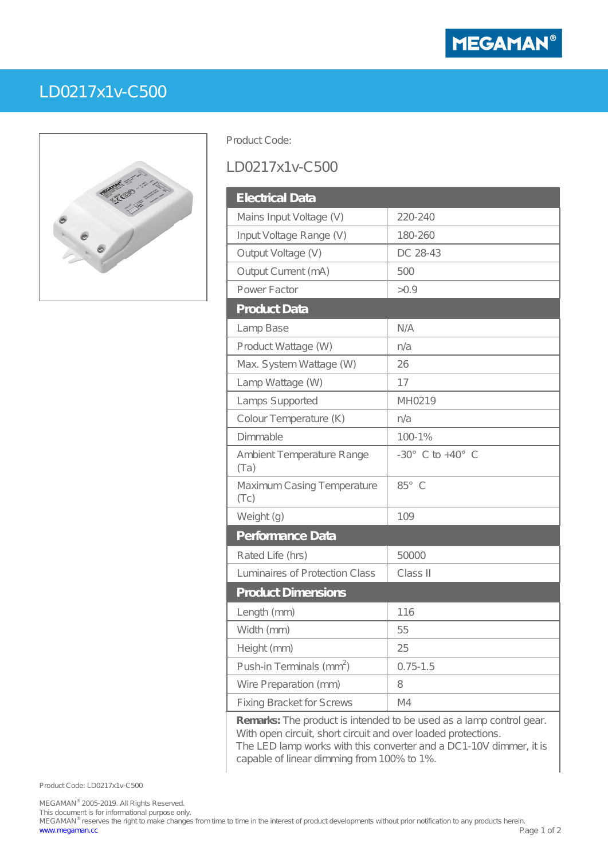

## LD0217x1v-C500

Product Code:

## LD0217x1v-C500

| <b>Electrical Data</b>               |                                    |
|--------------------------------------|------------------------------------|
| Mains Input Voltage (V)              | 220-240                            |
| Input Voltage Range (V)              | 180-260                            |
| Output Voltage (V)                   | DC 28-43                           |
| Output Current (mA)                  | 500                                |
| Power Factor                         | >0.9                               |
| <b>Product Data</b>                  |                                    |
| Lamp Base                            | N A                                |
| Product Wattage (W)                  | n/a                                |
| Max. System Wattage (W)              | 26                                 |
| Lamp Wattage (W)                     | 17                                 |
| Lamps Supported                      | MH0219                             |
| Colour Temperature (K)               | n/a                                |
| Dimmable                             | 100-1%                             |
| Ambient Temperature Range<br>(Ta)    | $-30^{\circ}$ C to $+40^{\circ}$ C |
| Maximum Casing Temperature<br>(TC)   | 85° C                              |
| Weight (g)                           | 109                                |
| Performance Data                     |                                    |
| Rated Life (hrs)                     | 50000                              |
| Luminaires of Protection Class       | Class II                           |
| <b>Product Dimensions</b>            |                                    |
| Length (mm)                          | 116                                |
| Width (mm)                           | 55                                 |
| Height (mm)                          | 25                                 |
| Push-in Terminals (mm <sup>2</sup> ) | $0.75 - 1.5$                       |
| Wire Preparation (mm)                | 8                                  |
| <b>Fixing Bracket for Screws</b>     | M4                                 |

**Remarks:** The product is intended to be used as a lamp control gear. With open circuit, short circuit and over loaded protections. The LED lamp works with this converter and a DC1-10V dimmer, it is capable of linear dimming from 100% to 1%.

Product Code: LD0217x1v-C500

MEGAMAN® 2005-2019. All Rights Reserved.

This document is for informational purpose only.

MEGAMAN® reserves the right to make changes from time to time in the interest of product developments without prior notification to any products herein. [www.megaman.cc](http://www.megaman.cc) Page 1 of 2